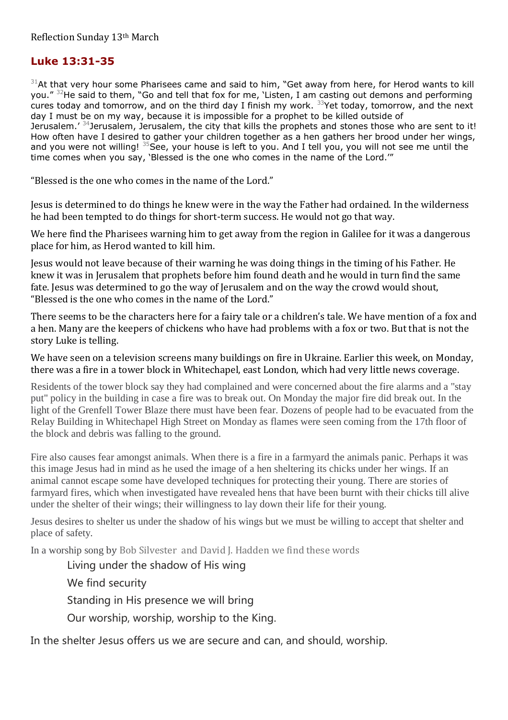## **Luke 13:31-35**

 $31$ At that very hour some Pharisees came and said to him, "Get away from here, for Herod wants to kill you." <sup>32</sup>He said to them, "Go and tell that fox for me, 'Listen, I am casting out demons and performing cures today and tomorrow, and on the third day I finish my work. <sup>33</sup>Yet today, tomorrow, and the next day I must be on my way, because it is impossible for a prophet to be killed outside of Jerusalem.' <sup>34</sup>Jerusalem, Jerusalem, the city that kills the prophets and stones those who are sent to it! How often have I desired to gather your children together as a hen gathers her brood under her wings, and you were not willing!  $35$  See, your house is left to you. And I tell you, you will not see me until the time comes when you say, 'Blessed is the one who comes in the name of the Lord.'"

"Blessed is the one who comes in the name of the Lord."

Jesus is determined to do things he knew were in the way the Father had ordained. In the wilderness he had been tempted to do things for short-term success. He would not go that way.

We here find the Pharisees warning him to get away from the region in Galilee for it was a dangerous place for him, as Herod wanted to kill him.

Jesus would not leave because of their warning he was doing things in the timing of his Father. He knew it was in Jerusalem that prophets before him found death and he would in turn find the same fate. Jesus was determined to go the way of Jerusalem and on the way the crowd would shout, "Blessed is the one who comes in the name of the Lord."

There seems to be the characters here for a fairy tale or a children's tale. We have mention of a fox and a hen. Many are the keepers of chickens who have had problems with a fox or two. But that is not the story Luke is telling.

We have seen on a television screens many buildings on fire in Ukraine. Earlier this week, on Monday, there was a fire in a tower block in Whitechapel, east London, which had very little news coverage.

Residents of the tower block say they had complained and were concerned about the fire alarms and a "stay put" policy in the building in case a fire was to break out. On Monday the major fire did break out. In the light of the Grenfell Tower Blaze there must have been fear. Dozens of people had to be evacuated from the Relay Building in Whitechapel High Street on Monday as flames were seen coming from the 17th floor of the block and debris was falling to the ground.

Fire also causes fear amongst animals. When there is a fire in a farmyard the animals panic. Perhaps it was this image Jesus had in mind as he used the image of a hen sheltering its chicks under her wings. If an animal cannot escape some have developed techniques for protecting their young. There are stories of farmyard fires, which when investigated have revealed hens that have been burnt with their chicks till alive under the shelter of their wings; their willingness to lay down their life for their young.

Jesus desires to shelter us under the shadow of his wings but we must be willing to accept that shelter and place of safety.

In a worship song by Bob Silvester and David J. Hadden we find these words

Living under the shadow of His wing

We find security

Standing in His presence we will bring

Our worship, worship, worship to the King.

In the shelter Jesus offers us we are secure and can, and should, worship.